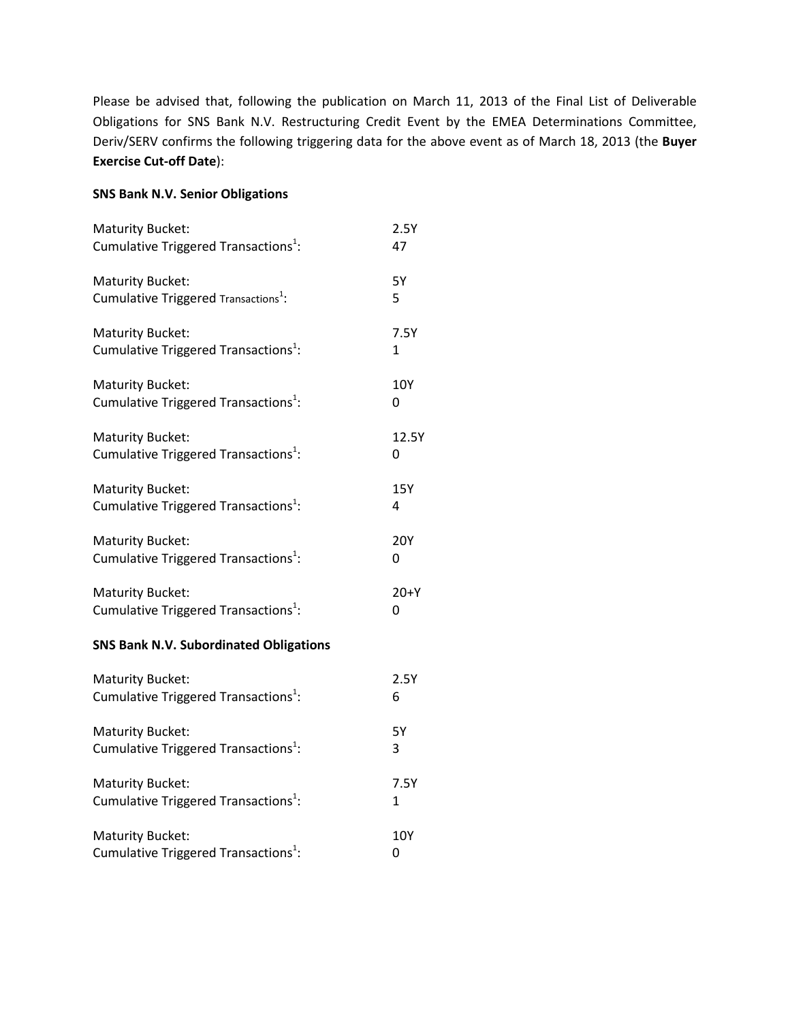Please be advised that, following the publication on March 11, 2013 of the Final List of Deliverable Obligations for SNS Bank N.V. Restructuring Credit Event by the EMEA Determinations Committee, Deriv/SERV confirms the following triggering data for the above event as of March 18, 2013 (the **Buyer Exercise Cut-off Date**):

## **SNS Bank N.V. Senior Obligations**

| <b>Maturity Bucket:</b>                          | 2.5Y       |
|--------------------------------------------------|------------|
| Cumulative Triggered Transactions <sup>1</sup> : | 47         |
| Maturity Bucket:                                 | <b>5Y</b>  |
| Cumulative Triggered Transactions <sup>1</sup> : | 5          |
| <b>Maturity Bucket:</b>                          | 7.5Y       |
| Cumulative Triggered Transactions <sup>1</sup> : | 1          |
| <b>Maturity Bucket:</b>                          | 10Y        |
| Cumulative Triggered Transactions <sup>1</sup> : | 0          |
| <b>Maturity Bucket:</b>                          | 12.5Y      |
| Cumulative Triggered Transactions <sup>1</sup> : | 0          |
| <b>Maturity Bucket:</b>                          | 15Y        |
| Cumulative Triggered Transactions <sup>1</sup> : | 4          |
| <b>Maturity Bucket:</b>                          | <b>20Y</b> |
| Cumulative Triggered Transactions <sup>1</sup> : | 0          |
| <b>Maturity Bucket:</b>                          | $20+Y$     |
| Cumulative Triggered Transactions <sup>1</sup> : | 0          |
| <b>SNS Bank N.V. Subordinated Obligations</b>    |            |
| <b>Maturity Bucket:</b>                          | 2.5Y       |
| Cumulative Triggered Transactions <sup>1</sup> : | 6          |
| <b>Maturity Bucket:</b>                          | <b>5Y</b>  |
| Cumulative Triggered Transactions <sup>1</sup> : | 3          |
| <b>Maturity Bucket:</b>                          | 7.5Y       |
| Cumulative Triggered Transactions <sup>1</sup> : | 1          |
| <b>Maturity Bucket:</b>                          | 10Y        |
| Cumulative Triggered Transactions <sup>1</sup> : | 0          |